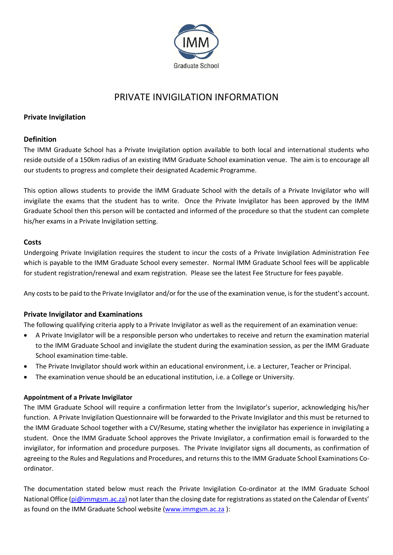

# PRIVATE INVIGILATION INFORMATION

## **Private Invigilation**

### **Definition**

The IMM Graduate School has a Private Invigilation option available to both local and international students who reside outside of a 150km radius of an existing IMM Graduate School examination venue. The aim is to encourage all our students to progress and complete their designated Academic Programme.

This option allows students to provide the IMM Graduate School with the details of a Private Invigilator who will invigilate the exams that the student has to write. Once the Private Invigilator has been approved by the IMM Graduate School then this person will be contacted and informed of the procedure so that the student can complete his/her exams in a Private Invigilation setting.

### **Costs**

Undergoing Private Invigilation requires the student to incur the costs of a Private Invigilation Administration Fee which is payable to the IMM Graduate School every semester. Normal IMM Graduate School fees will be applicable for student registration/renewal and exam registration. Please see the latest Fee Structure for fees payable.

Any costs to be paid to the Private Invigilator and/or for the use of the examination venue, is for the student's account.

### **Private Invigilator and Examinations**

The following qualifying criteria apply to a Private Invigilator as well as the requirement of an examination venue:

- A Private Invigilator will be a responsible person who undertakes to receive and return the examination material to the IMM Graduate School and invigilate the student during the examination session, as per the IMM Graduate School examination time-table.
- The Private Invigilator should work within an educational environment, i.e. a Lecturer, Teacher or Principal.
- The examination venue should be an educational institution, i.e. a College or University.

### **Appointment of a Private Invigilator**

The IMM Graduate School will require a confirmation letter from the Invigilator's superior, acknowledging his/her function. A Private Invigilation Questionnaire will be forwarded to the Private Invigilator and this must be returned to the IMM Graduate School together with a CV/Resume, stating whether the invigilator has experience in invigilating a student. Once the IMM Graduate School approves the Private Invigilator, a confirmation email is forwarded to the invigilator, for information and procedure purposes. The Private Invigilator signs all documents, as confirmation of agreeing to the Rules and Regulations and Procedures, and returns this to the IMM Graduate School Examinations Coordinator.

The documentation stated below must reach the Private Invigilation Co-ordinator at the IMM Graduate School National Office [\(pi@immgsm.ac.za\)](mailto:pi@immgsm.ac.za) not later than the closing date for registrations as stated on the Calendar of Events' as found on the IMM Graduate School website [\(www.immgsm.ac.za](http://www.immgsm.ac.za/) ):